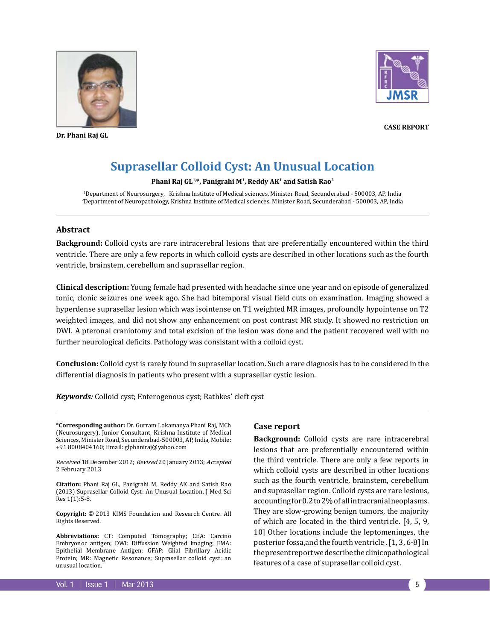

**Dr. Phani Raj GL**



**Case Report**

# **Suprasellar Colloid Cyst: An Unusual Location**

#### **Phani Raj GL1,\*, Panigrahi M1, Reddy AK1 and Satish Rao2**

1 Department of Neurosurgery, Krishna Institute of Medical sciences, Minister Road, Secunderabad - 500003, AP, India 2 Department of Neuropathology, Krishna Institute of Medical sciences, Minister Road, Secunderabad - 500003, AP, India

## **Abstract**

**Background:** Colloid cysts are rare intracerebral lesions that are preferentially encountered within the third ventricle. There are only a few reports in which colloid cysts are described in other locations such as the fourth ventricle, brainstem, cerebellum and suprasellar region.

**Clinical description:** Young female had presented with headache since one year and on episode of generalized tonic, clonic seizures one week ago. She had bitemporal visual field cuts on examination. Imaging showed a hyperdense suprasellar lesion which was isointense on T1 weighted MR images, profoundly hypointense on T2 weighted images, and did not show any enhancement on post contrast MR study. It showed no restriction on DWI. A pteronal craniotomy and total excision of the lesion was done and the patient recovered well with no further neurological deficits. Pathology was consistant with a colloid cyst.

**Conclusion:** Colloid cyst is rarely found in suprasellar location. Such a rare diagnosis has to be considered in the differential diagnosis in patients who present with a suprasellar cystic lesion.

*Keywords:* Colloid cyst; Enterogenous cyst; Rathkes' cleft cyst

\***Corresponding author:** Dr. Gurram Lokamanya Phani Raj, MCh (Neurosurgery), Junior Consultant, Krishna Institute of Medical Sciences, Minister Road, Secunderabad-500003, AP, India, Mobile: +91 8008404160; Email: glphaniraj@yahoo.com

Received 18 December 2012; Revised 20 January 2013; Accepted 2 February 2013

**Citation:** Phani Raj GL, Panigrahi M, Reddy AK and Satish Rao (2013) Suprasellar Colloid Cyst: An Unusual Location. J Med Sci Res 1(1):5-8.

**Copyright:** © 2013 KIMS Foundation and Research Centre. All Rights Reserved.

**Abbreviations:** CT: Computed Tomography; CEA: Carcino Embryonoc antigen; DWI: Diffussion Weighted Imaging; EMA: Epithelial Membrane Antigen; GFAP: Glial Fibrillary Acidic Protein; MR: Magnetic Resonance; Suprasellar colloid cyst: an unusual location.

# **Case report**

**Background:** Colloid cysts are rare intracerebral lesions that are preferentially encountered within the third ventricle. There are only a few reports in which colloid cysts are described in other locations such as the fourth ventricle, brainstem, cerebellum and suprasellar region. Colloid cysts are rare lesions, accounting for 0.2 to 2% of all intracranial neoplasms. They are slow-growing benign tumors, the majority of which are located in the third ventricle. [4, 5, 9, 10] Other locations include the leptomeninges, the posterior fossa,and the fourth ventricle . [1, 3, 6-8] In the present report we describe the clinicopathological features of a case of suprasellar colloid cyst.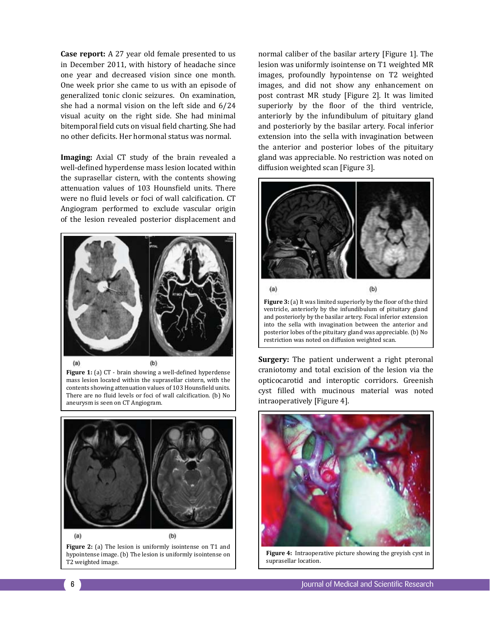**Case report:** A 27 year old female presented to us in December 2011, with history of headache since one year and decreased vision since one month. One week prior she came to us with an episode of generalized tonic clonic seizures. On examination, she had a normal vision on the left side and 6/24 visual acuity on the right side. She had minimal bitemporal field cuts on visual field charting. She had no other deficits. Her hormonal status was normal.

**Imaging:** Axial CT study of the brain revealed a well-defined hyperdense mass lesion located within the suprasellar cistern, with the contents showing attenuation values of 103 Hounsfield units. There were no fluid levels or foci of wall calcification. CT Angiogram performed to exclude vascular origin of the lesion revealed posterior displacement and



**Figure 1:** (a) CT - brain showing a well-defined hyperdense mass lesion located within the suprasellar cistern, with the contents showing attenuation values of 103 Hounsfield units. There are no fluid levels or foci of wall calcification. (b) No aneurysm is seen on CT Angiogram.



**Figure 2:** (a) The lesion is uniformly isointense on T1 and hypointense image. (b) The lesion is uniformly isointense on T2 weighted image.

normal caliber of the basilar artery [Figure 1]. The lesion was uniformly isointense on T1 weighted MR images, profoundly hypointense on T2 weighted images, and did not show any enhancement on post contrast MR study [Figure 2]. It was limited superiorly by the floor of the third ventricle, anteriorly by the infundibulum of pituitary gland and posteriorly by the basilar artery. Focal inferior extension into the sella with invagination between the anterior and posterior lobes of the pituitary gland was appreciable. No restriction was noted on diffusion weighted scan [Figure 3].



**Figure 3:** (a) It was limited superiorly by the floor of the third ventricle, anteriorly by the infundibulum of pituitary gland and posteriorly by the basilar artery. Focal inferior extension into the sella with invagination between the anterior and posterior lobes of the pituitary gland was appreciable. (b) No restriction was noted on diffusion weighted scan.

**Surgery:** The patient underwent a right pteronal craniotomy and total excision of the lesion via the opticocarotid and interoptic corridors. Greenish cyst filled with mucinous material was noted intraoperatively [Figure 4].



**Figure 4:** Intraoperative picture showing the greyish cyst in suprasellar location.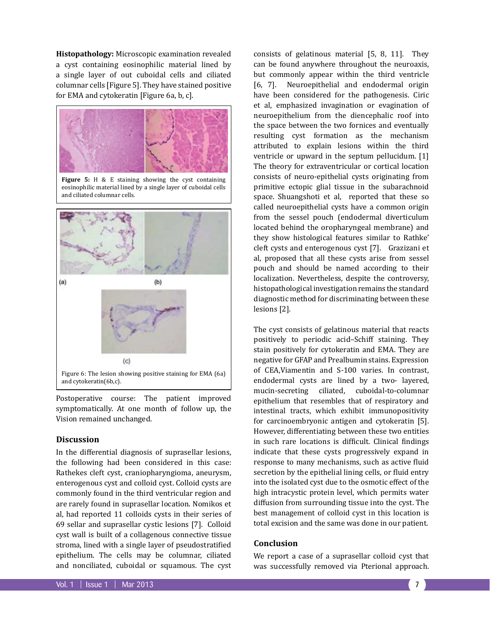**Histopathology:** Microscopic examination revealed a cyst containing eosinophilic material lined by a single layer of out cuboidal cells and ciliated columnar cells [Figure 5]. They have stained positive for EMA and cytokeratin [Figure 6a, b, c].



Postoperative course: The patient improved symptomatically. At one month of follow up, the Vision remained unchanged.

## **Discussion**

In the differential diagnosis of suprasellar lesions, the following had been considered in this case: Rathekes cleft cyst, craniopharyngioma, aneurysm, enterogenous cyst and colloid cyst. Colloid cysts are commonly found in the third ventricular region and are rarely found in suprasellar location. Nomikos et al, had reported 11 colloids cysts in their series of 69 sellar and suprasellar cystic lesions [7]. Colloid cyst wall is built of a collagenous connective tissue stroma, lined with a single layer of pseudostratified epithelium. The cells may be columnar, ciliated and nonciliated, cuboidal or squamous. The cyst

consists of gelatinous material [5, 8, 11]. They can be found anywhere throughout the neuroaxis, but commonly appear within the third ventricle [6, 7]. Neuroepithelial and endodermal origin have been considered for the pathogenesis. Ciric et al, emphasized invagination or evagination of neuroepithelium from the diencephalic roof into the space between the two fornices and eventually resulting cyst formation as the mechanism attributed to explain lesions within the third ventricle or upward in the septum pellucidum. [1] The theory for extraventricular or cortical location consists of neuro-epithelial cysts originating from primitive ectopic glial tissue in the subarachnoid space. Shuangshoti et al, reported that these so called neuroepithelial cysts have a common origin from the sessel pouch (endodermal diverticulum located behind the oropharyngeal membrane) and they show histological features similar to Rathke' cleft cysts and enterogenous cyst [7]. Grazizani et al, proposed that all these cysts arise from sessel pouch and should be named according to their localization. Nevertheless, despite the controversy, histopathological investigation remains the standard diagnostic method for discriminating between these lesions [2].

The cyst consists of gelatinous material that reacts positively to periodic acid–Schiff staining. They stain positively for cytokeratin and EMA. They are negative for GFAP and Prealbumin stains. Expression of CEA,Viamentin and S-100 varies. In contrast, endodermal cysts are lined by a two- layered, mucin-secreting ciliated, cuboidal-to-columnar epithelium that resembles that of respiratory and intestinal tracts, which exhibit immunopositivity for carcinoembryonic antigen and cytokeratin [5]. However, differentiating between these two entities in such rare locations is difficult. Clinical findings indicate that these cysts progressively expand in response to many mechanisms, such as active fluid secretion by the epithelial lining cells, or fluid entry into the isolated cyst due to the osmotic effect of the high intracystic protein level, which permits water diffusion from surrounding tissue into the cyst. The best management of colloid cyst in this location is total excision and the same was done in our patient.

#### **Conclusion**

We report a case of a suprasellar colloid cyst that was successfully removed via Pterional approach.